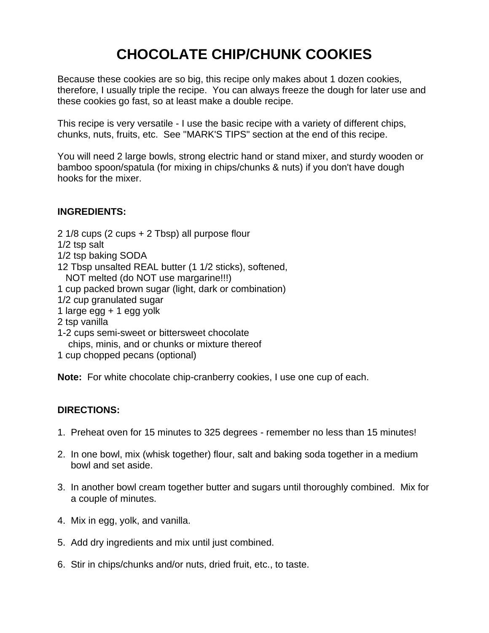## **CHOCOLATE CHIP/CHUNK COOKIES**

Because these cookies are so big, this recipe only makes about 1 dozen cookies, therefore, I usually triple the recipe. You can always freeze the dough for later use and these cookies go fast, so at least make a double recipe.

This recipe is very versatile - I use the basic recipe with a variety of different chips, chunks, nuts, fruits, etc. See "MARK'S TIPS" section at the end of this recipe.

You will need 2 large bowls, strong electric hand or stand mixer, and sturdy wooden or bamboo spoon/spatula (for mixing in chips/chunks & nuts) if you don't have dough hooks for the mixer.

## **INGREDIENTS:**

- 2 1/8 cups (2 cups + 2 Tbsp) all purpose flour
- 1/2 tsp salt
- 1/2 tsp baking SODA
- 12 Tbsp unsalted REAL butter (1 1/2 sticks), softened,
- NOT melted (do NOT use margarine!!!)
- 1 cup packed brown sugar (light, dark or combination)
- 1/2 cup granulated sugar
- 1 large egg + 1 egg yolk
- 2 tsp vanilla
- 1-2 cups semi-sweet or bittersweet chocolate chips, minis, and or chunks or mixture thereof
- 1 cup chopped pecans (optional)

**Note:** For white chocolate chip-cranberry cookies, I use one cup of each.

## **DIRECTIONS:**

- 1. Preheat oven for 15 minutes to 325 degrees remember no less than 15 minutes!
- 2. In one bowl, mix (whisk together) flour, salt and baking soda together in a medium bowl and set aside.
- 3. In another bowl cream together butter and sugars until thoroughly combined. Mix for a couple of minutes.
- 4. Mix in egg, yolk, and vanilla.
- 5. Add dry ingredients and mix until just combined.
- 6. Stir in chips/chunks and/or nuts, dried fruit, etc., to taste.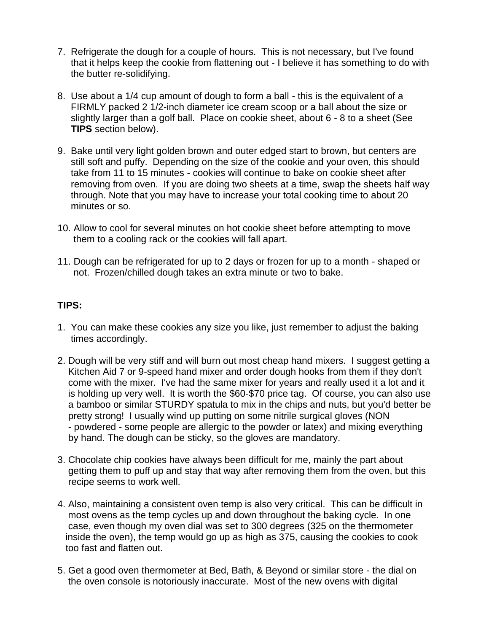- 7. Refrigerate the dough for a couple of hours. This is not necessary, but I've found that it helps keep the cookie from flattening out - I believe it has something to do with the butter re-solidifying.
- 8. Use about a 1/4 cup amount of dough to form a ball this is the equivalent of a FIRMLY packed 2 1/2-inch diameter ice cream scoop or a ball about the size or slightly larger than a golf ball. Place on cookie sheet, about 6 - 8 to a sheet (See **TIPS** section below).
- 9. Bake until very light golden brown and outer edged start to brown, but centers are still soft and puffy. Depending on the size of the cookie and your oven, this should take from 11 to 15 minutes - cookies will continue to bake on cookie sheet after removing from oven. If you are doing two sheets at a time, swap the sheets half way through. Note that you may have to increase your total cooking time to about 20 minutes or so.
- 10. Allow to cool for several minutes on hot cookie sheet before attempting to move them to a cooling rack or the cookies will fall apart.
- 11. Dough can be refrigerated for up to 2 days or frozen for up to a month shaped or not. Frozen/chilled dough takes an extra minute or two to bake.

## **TIPS:**

- 1. You can make these cookies any size you like, just remember to adjust the baking times accordingly.
- 2. Dough will be very stiff and will burn out most cheap hand mixers. I suggest getting a Kitchen Aid 7 or 9-speed hand mixer and order dough hooks from them if they don't come with the mixer. I've had the same mixer for years and really used it a lot and it is holding up very well. It is worth the \$60-\$70 price tag. Of course, you can also use a bamboo or similar STURDY spatula to mix in the chips and nuts, but you'd better be pretty strong! I usually wind up putting on some nitrile surgical gloves (NON - powdered - some people are allergic to the powder or latex) and mixing everything by hand. The dough can be sticky, so the gloves are mandatory.
- 3. Chocolate chip cookies have always been difficult for me, mainly the part about getting them to puff up and stay that way after removing them from the oven, but this recipe seems to work well.
- 4. Also, maintaining a consistent oven temp is also very critical. This can be difficult in most ovens as the temp cycles up and down throughout the baking cycle. In one case, even though my oven dial was set to 300 degrees (325 on the thermometer inside the oven), the temp would go up as high as 375, causing the cookies to cook too fast and flatten out.
- 5. Get a good oven thermometer at Bed, Bath, & Beyond or similar store the dial on the oven console is notoriously inaccurate. Most of the new ovens with digital